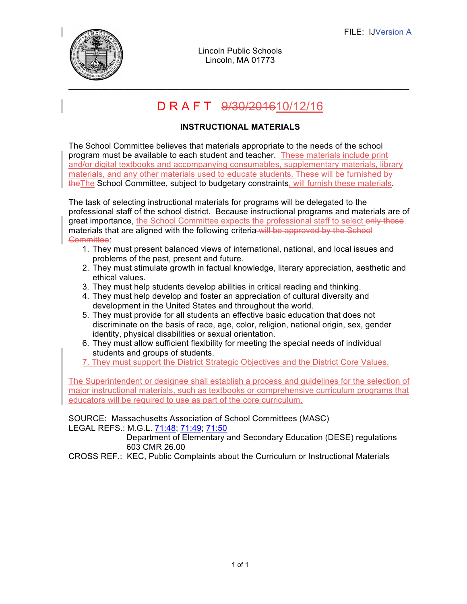

Lincoln Public Schools Lincoln, MA 01773

# D R A F T 9/30/201610/12/16

### **INSTRUCTIONAL MATERIALS**

The School Committee believes that materials appropriate to the needs of the school program must be available to each student and teacher. These materials include print and/or digital textbooks and accompanying consumables, supplementary materials, library materials, and any other materials used to educate students. These will be furnished by theThe School Committee, subject to budgetary constraints, will furnish these materials.

The task of selecting instructional materials for programs will be delegated to the professional staff of the school district. Because instructional programs and materials are of great importance, the School Committee expects the professional staff to select only those materials that are aligned with the following criteria will be approved by the School Committee:

- 1. They must present balanced views of international, national, and local issues and problems of the past, present and future.
- 2. They must stimulate growth in factual knowledge, literary appreciation, aesthetic and ethical values.
- 3. They must help students develop abilities in critical reading and thinking.
- 4. They must help develop and foster an appreciation of cultural diversity and development in the United States and throughout the world.
- 5. They must provide for all students an effective basic education that does not discriminate on the basis of race, age, color, religion, national origin, sex, gender identity, physical disabilities or sexual orientation.
- 6. They must allow sufficient flexibility for meeting the special needs of individual students and groups of students.
- 7. They must support the District Strategic Objectives and the District Core Values.

The Superintendent or designee shall establish a process and guidelines for the selection of major instructional materials, such as textbooks or comprehensive curriculum programs that educators will be required to use as part of the core curriculum.

#### SOURCE: Massachusetts Association of School Committees (MASC) LEGAL REFS.: M.G.L. 71:48; 71:49; 71:50

Department of Elementary and Secondary Education (DESE) regulations 603 CMR 26.00

CROSS REF.: KEC, Public Complaints about the Curriculum or Instructional Materials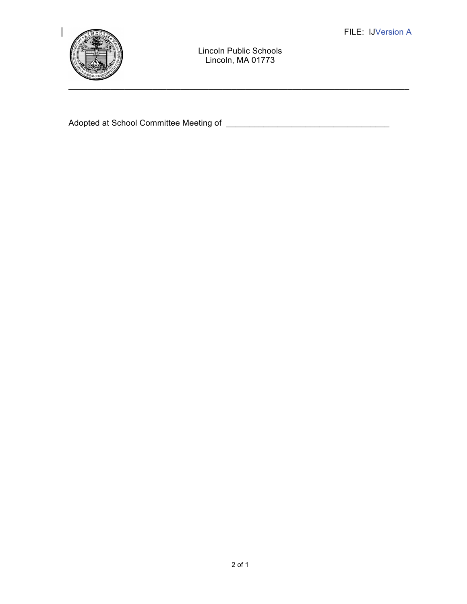

Lincoln Public Schools Lincoln, MA 01773

Adopted at School Committee Meeting of \_\_\_\_\_\_\_\_\_\_\_\_\_\_\_\_\_\_\_\_\_\_\_\_\_\_\_\_\_\_\_\_\_\_\_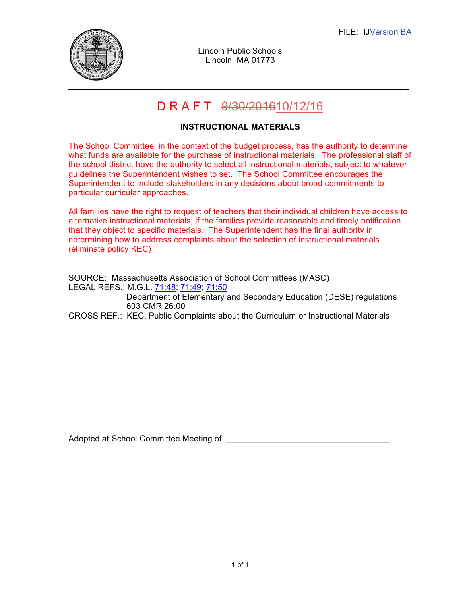

Lincoln Public Schools Lincoln, MA 01773

## D R A F T 9/30/201610/12/16

### **INSTRUCTIONAL MATERIALS**

The School Committee, in the context of the budget process, has the authority to determine what funds are available for the purchase of instructional materials. The professional staff of the school district have the authority to select all instructional materials, subject to whatever guidelines the Superintendent wishes to set. The School Committee encourages the Superintendent to include stakeholders in any decisions about broad commitments to particular curricular approaches.

All families have the right to request of teachers that their individual children have access to alternative instructional materials, if the families provide reasonable and timely notification that they object to specific materials. The Superintendent has the final authority in determining how to address complaints about the selection of instructional materials. (eliminate policy KEC)

SOURCE: Massachusetts Association of School Committees (MASC) LEGAL REFS.: M.G.L. 71:48; 71:49; 71:50 Department of Elementary and Secondary Education (DESE) regulations 603 CMR 26.00 CROSS REF.: KEC, Public Complaints about the Curriculum or Instructional Materials

Adopted at School Committee Meeting of \_\_\_\_\_\_\_\_\_\_\_\_\_\_\_\_\_\_\_\_\_\_\_\_\_\_\_\_\_\_\_\_\_\_\_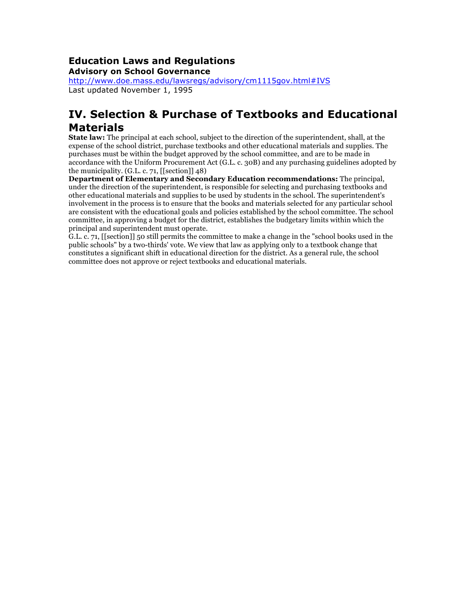#### **Education Laws and Regulations Advisory on School Governance**

http://www.doe.mass.edu/lawsregs/advisory/cm1115gov.html#IVS Last updated November 1, 1995

## **IV. Selection & Purchase of Textbooks and Educational Materials**

**State law:** The principal at each school, subject to the direction of the superintendent, shall, at the expense of the school district, purchase textbooks and other educational materials and supplies. The purchases must be within the budget approved by the school committee, and are to be made in accordance with the Uniform Procurement Act (G.L. c. 30B) and any purchasing guidelines adopted by the municipality. (G.L. c. 71, [[section]] 48)

**Department of Elementary and Secondary Education recommendations:** The principal, under the direction of the superintendent, is responsible for selecting and purchasing textbooks and other educational materials and supplies to be used by students in the school. The superintendent's involvement in the process is to ensure that the books and materials selected for any particular school are consistent with the educational goals and policies established by the school committee. The school committee, in approving a budget for the district, establishes the budgetary limits within which the principal and superintendent must operate.

G.L. c. 71, [[section]] 50 still permits the committee to make a change in the "school books used in the public schools" by a two-thirds' vote. We view that law as applying only to a textbook change that constitutes a significant shift in educational direction for the district. As a general rule, the school committee does not approve or reject textbooks and educational materials.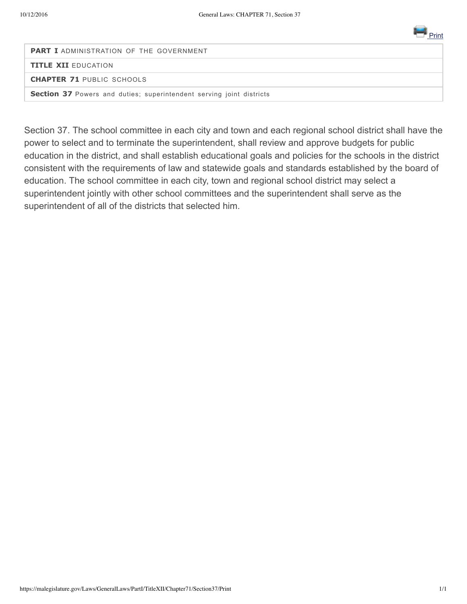

**PART I** ADMINISTRATION OF THE GOVERNMENT

**TITLE XII** EDUCATION

**CHAPTER 71** PUBLIC SCHOOLS

**Section 37** Powers and duties; superintendent serving joint districts

Section 37. The school committee in each city and town and each regional school district shall have the power to select and to terminate the superintendent, shall review and approve budgets for public education in the district, and shall establish educational goals and policies for the schools in the district consistent with the requirements of law and statewide goals and standards established by the board of education. The school committee in each city, town and regional school district may select a superintendent jointly with other school committees and the superintendent shall serve as the superintendent of all of the districts that selected him.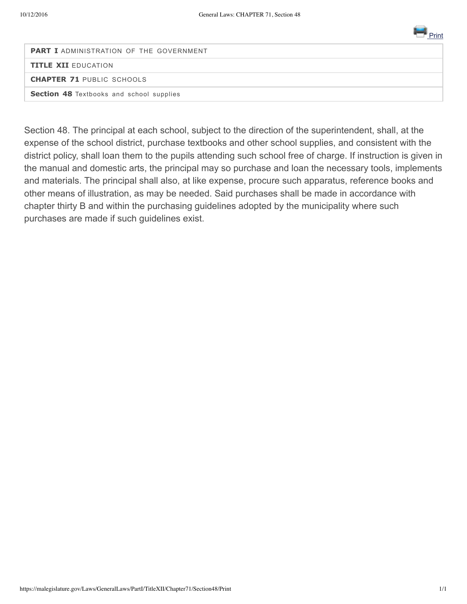

**PART I** ADMINISTRATION OF THE GOVERNMENT **TITLE XII** EDUCATION **CHAPTER 71** PUBLIC SCHOOLS

**Section 48** Textbooks and school supplies

Section 48. The principal at each school, subject to the direction of the superintendent, shall, at the expense of the school district, purchase textbooks and other school supplies, and consistent with the district policy, shall loan them to the pupils attending such school free of charge. If instruction is given in the manual and domestic arts, the principal may so purchase and loan the necessary tools, implements and materials. The principal shall also, at like expense, procure such apparatus, reference books and other means of illustration, as may be needed. Said purchases shall be made in accordance with chapter thirty B and within the purchasing guidelines adopted by the municipality where such purchases are made if such guidelines exist.